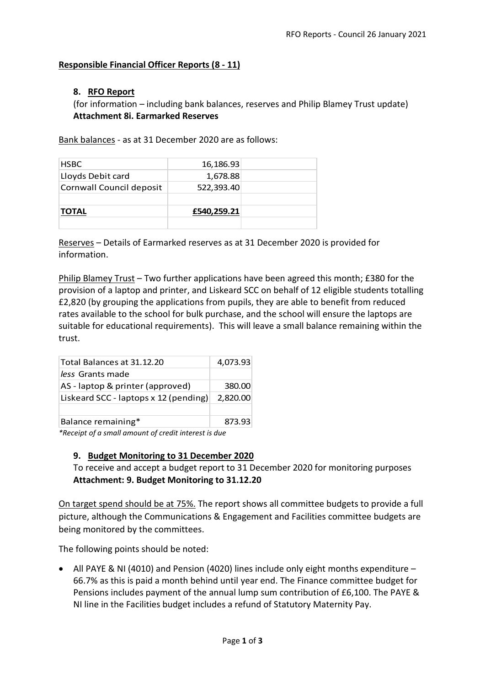### **Responsible Financial Officer Reports (8 - 11)**

### **8. RFO Report**

(for information – including bank balances, reserves and Philip Blamey Trust update) **Attachment 8i. Earmarked Reserves**

Bank balances - as at 31 December 2020 are as follows:

| £540,259.21 |  |
|-------------|--|
|             |  |
| 522,393.40  |  |
| 1,678.88    |  |
| 16,186.93   |  |
|             |  |

Reserves – Details of Earmarked reserves as at 31 December 2020 is provided for information.

Philip Blamey Trust – Two further applications have been agreed this month; £380 for the provision of a laptop and printer, and Liskeard SCC on behalf of 12 eligible students totalling £2,820 (by grouping the applications from pupils, they are able to benefit from reduced rates available to the school for bulk purchase, and the school will ensure the laptops are suitable for educational requirements). This will leave a small balance remaining within the trust.

| Total Balances at 31.12.20            | 4,073.93 |
|---------------------------------------|----------|
| less Grants made                      |          |
| AS - laptop & printer (approved)      | 380.00   |
| Liskeard SCC - laptops x 12 (pending) | 2,820.00 |
|                                       |          |
| Balance remaining*                    | 873.93   |

*\*Receipt of a small amount of credit interest is due*

#### **9. Budget Monitoring to 31 December 2020**

To receive and accept a budget report to 31 December 2020 for monitoring purposes **Attachment: 9. Budget Monitoring to 31.12.20**

On target spend should be at 75%. The report shows all committee budgets to provide a full picture, although the Communications & Engagement and Facilities committee budgets are being monitored by the committees.

The following points should be noted:

• All PAYE & NI (4010) and Pension (4020) lines include only eight months expenditure  $-$ 66.7% as this is paid a month behind until year end. The Finance committee budget for Pensions includes payment of the annual lump sum contribution of £6,100. The PAYE & NI line in the Facilities budget includes a refund of Statutory Maternity Pay.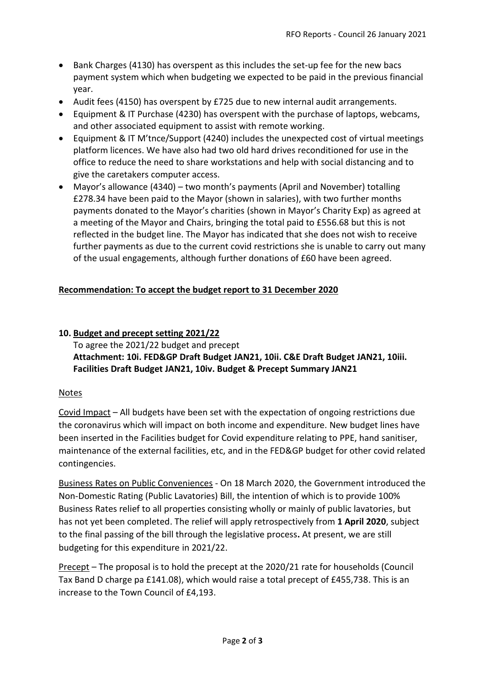- Bank Charges (4130) has overspent as this includes the set-up fee for the new bacs payment system which when budgeting we expected to be paid in the previous financial year.
- Audit fees (4150) has overspent by £725 due to new internal audit arrangements.
- Equipment & IT Purchase (4230) has overspent with the purchase of laptops, webcams, and other associated equipment to assist with remote working.
- Equipment & IT M'tnce/Support (4240) includes the unexpected cost of virtual meetings platform licences. We have also had two old hard drives reconditioned for use in the office to reduce the need to share workstations and help with social distancing and to give the caretakers computer access.
- Mayor's allowance (4340) two month's payments (April and November) totalling £278.34 have been paid to the Mayor (shown in salaries), with two further months payments donated to the Mayor's charities (shown in Mayor's Charity Exp) as agreed at a meeting of the Mayor and Chairs, bringing the total paid to £556.68 but this is not reflected in the budget line. The Mayor has indicated that she does not wish to receive further payments as due to the current covid restrictions she is unable to carry out many of the usual engagements, although further donations of £60 have been agreed.

# **Recommendation: To accept the budget report to 31 December 2020**

## **10. Budget and precept setting 2021/22** To agree the 2021/22 budget and precept **Attachment: 10i. FED&GP Draft Budget JAN21, 10ii. C&E Draft Budget JAN21, 10iii. Facilities Draft Budget JAN21, 10iv. Budget & Precept Summary JAN21**

## Notes

Covid Impact – All budgets have been set with the expectation of ongoing restrictions due the coronavirus which will impact on both income and expenditure. New budget lines have been inserted in the Facilities budget for Covid expenditure relating to PPE, hand sanitiser, maintenance of the external facilities, etc, and in the FED&GP budget for other covid related contingencies.

Business Rates on Public Conveniences - On 18 March 2020, the Government introduced the Non-Domestic Rating (Public Lavatories) Bill, the intention of which is to provide 100% Business Rates relief to all properties consisting wholly or mainly of public lavatories, but has not yet been completed. The relief will apply retrospectively from **1 April 2020**, subject to the final passing of the bill through the legislative process**.** At present, we are still budgeting for this expenditure in 2021/22.

Precept – The proposal is to hold the precept at the 2020/21 rate for households (Council Tax Band D charge pa £141.08), which would raise a total precept of £455,738. This is an increase to the Town Council of £4,193.